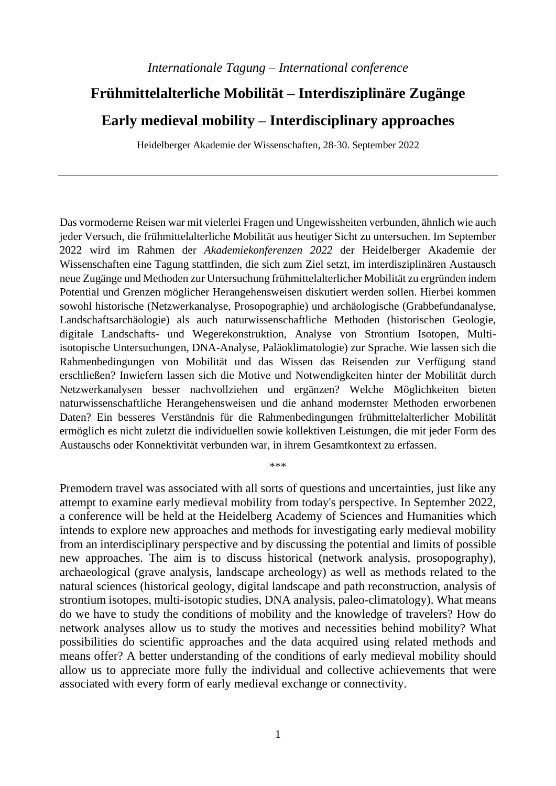# **Frühmittelalterliche Mobilität – Interdisziplinäre Zugänge**

# **Early medieval mobility – Interdisciplinary approaches**

Heidelberger Akademie der Wissenschaften, 28-30. September 2022

Das vormoderne Reisen war mit vielerlei Fragen und Ungewissheiten verbunden, ähnlich wie auch jeder Versuch, die frühmittelalterliche Mobilität aus heutiger Sicht zu untersuchen. Im September 2022 wird im Rahmen der *Akademiekonferenzen 2022* der Heidelberger Akademie der Wissenschaften eine Tagung stattfinden, die sich zum Ziel setzt, im interdisziplinären Austausch neue Zugänge und Methoden zur Untersuchung frühmittelalterlicher Mobilität zu ergründen indem Potential und Grenzen möglicher Herangehensweisen diskutiert werden sollen. Hierbei kommen sowohl historische (Netzwerkanalyse, Prosopographie) und archäologische (Grabbefundanalyse, Landschaftsarchäologie) als auch naturwissenschaftliche Methoden (historischen Geologie, digitale Landschafts- und Wegerekonstruktion, Analyse von Strontium Isotopen, Multiisotopische Untersuchungen, DNA-Analyse, Paläoklimatologie) zur Sprache. Wie lassen sich die Rahmenbedingungen von Mobilität und das Wissen das Reisenden zur Verfügung stand erschließen? Inwiefern lassen sich die Motive und Notwendigkeiten hinter der Mobilität durch Netzwerkanalysen besser nachvollziehen und ergänzen? Welche Möglichkeiten bieten naturwissenschaftliche Herangehensweisen und die anhand modernster Methoden erworbenen Daten? Ein besseres Verständnis für die Rahmenbedingungen frühmittelalterlicher Mobilität ermöglich es nicht zuletzt die individuellen sowie kollektiven Leistungen, die mit jeder Form des Austauschs oder Konnektivität verbunden war, in ihrem Gesamtkontext zu erfassen.

Premodern travel was associated with all sorts of questions and uncertainties, just like any attempt to examine early medieval mobility from today's perspective. In September 2022, a conference will be held at the Heidelberg Academy of Sciences and Humanities which intends to explore new approaches and methods for investigating early medieval mobility from an interdisciplinary perspective and by discussing the potential and limits of possible new approaches. The aim is to discuss historical (network analysis, prosopography), archaeological (grave analysis, landscape archeology) as well as methods related to the natural sciences (historical geology, digital landscape and path reconstruction, analysis of strontium isotopes, multi-isotopic studies, DNA analysis, paleo-climatology). What means do we have to study the conditions of mobility and the knowledge of travelers? How do network analyses allow us to study the motives and necessities behind mobility? What possibilities do scientific approaches and the data acquired using related methods and means offer? A better understanding of the conditions of early medieval mobility should allow us to appreciate more fully the individual and collective achievements that were associated with every form of early medieval exchange or connectivity.

\*\*\*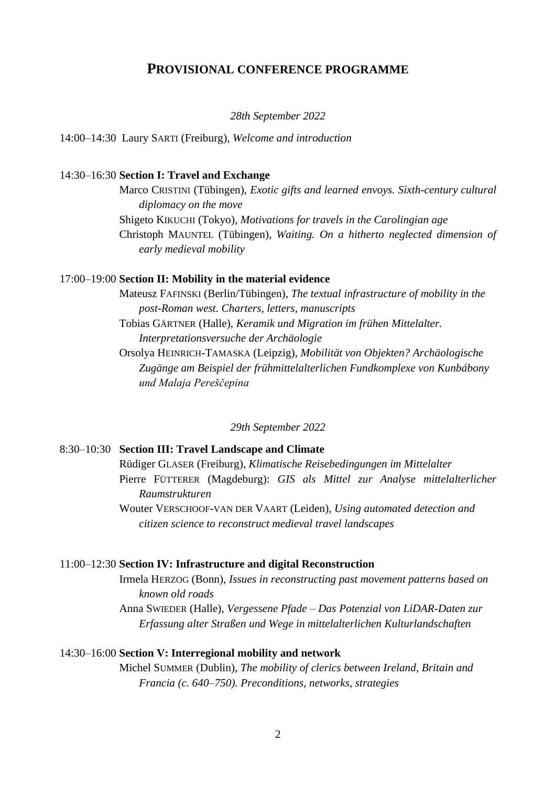## **PROVISIONAL CONFERENCE PROGRAMME**

*28th September 2022*

14:00–14:30 Laury SARTI (Freiburg), *Welcome and introduction*

#### 14:30–16:30 **Section I: Travel and Exchange**

Marco CRISTINI (Tübingen), *Exotic gifts and learned envoys. Sixth-century cultural diplomacy on the move* Shigeto KIKUCHI (Tokyo), *Motivations for travels in the Carolingian age* Christoph MAUNTEL (Tübingen), *Waiting. On a hitherto neglected dimension of early medieval mobility*

#### 17:00–19:00 **Section II: Mobility in the material evidence**

Mateusz FAFINSKI (Berlin/Tübingen), *The textual infrastructure of mobility in the post-Roman west. Charters, letters, manuscripts* 

Tobias GÄRTNER (Halle), *Keramik und Migration im frühen Mittelalter. Interpretationsversuche der Archäologie*

Orsolya HEINRICH-TAMASKA (Leipzig), *Mobilität von Objekten? Archäologische Zugänge am Beispiel der frühmittelalterlichen Fundkomplexe von Kunbábony und Malaja Pereščepina*

*29th September 2022*

#### 8:30–10:30 **Section III: Travel Landscape and Climate**

Rüdiger GLASER (Freiburg), *Klimatische Reisebedingungen im Mittelalter* Pierre FÜTTERER (Magdeburg): *GIS als Mittel zur Analyse mittelalterlicher Raumstrukturen*

Wouter VERSCHOOF-VAN DER VAART (Leiden), *Using automated detection and citizen science to reconstruct medieval travel landscapes*

#### 11:00–12:30 **Section IV: Infrastructure and digital Reconstruction**

Irmela HERZOG (Bonn), *Issues in reconstructing past movement patterns based on known old roads*

Anna SWIEDER (Halle), *Vergessene Pfade – Das Potenzial von LiDAR-Daten zur Erfassung alter Straßen und Wege in mittelalterlichen Kulturlandschaften*

#### 14:30–16:00 **Section V: Interregional mobility and network**

Michel SUMMER (Dublin), *The mobility of clerics between Ireland, Britain and Francia (c. 640–750). Preconditions, networks, strategies*